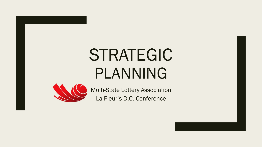# STRATEGIC PLANNING



Multi-State Lottery Association La Fleur's D.C. Conference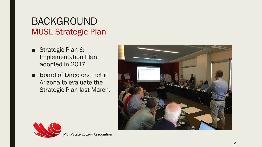# BACKGROUND MUSL Strategic Plan

- Strategic Plan & Implementation Plan adopted in 2017.
- Board of Directors met in Arizona to evaluate the Strategic Plan last March.





Multi -State Lottery Association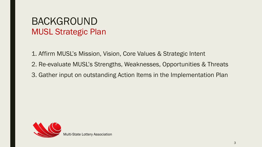## BACKGROUND MUSL Strategic Plan

1. Affirm MUSL's Mission, Vision, Core Values & Strategic Intent

- 2. Re-evaluate MUSL's Strengths, Weaknesses, Opportunities & Threats
- 3. Gather input on outstanding Action Items in the Implementation Plan

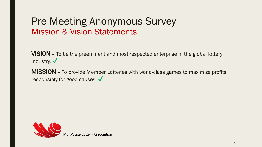### Pre-Meeting Anonymous Survey Mission & Vision Statements

VISION – To be the preeminent and most respected enterprise in the global lottery industry.  $\checkmark$ 

MISSION – To provide Member Lotteries with world-class games to maximize profits responsibly for good causes. ✔



Multi-State Lottery Association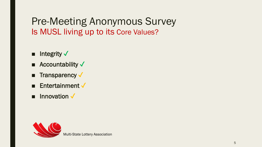Pre-Meeting Anonymous Survey Is MUSL living up to its Core Values?

- Integrity  $\checkmark$
- Accountability  $\checkmark$
- Transparency  $\checkmark$
- **Entertainment**  $\checkmark$
- Innovation √

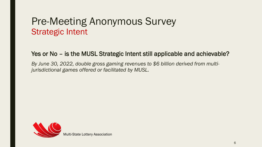### Pre-Meeting Anonymous Survey Strategic Intent

### Yes or No – is the MUSL Strategic Intent still applicable and achievable?

*By June 30, 2022, double gross gaming revenues to \$6 billion derived from multijurisdictional games offered or facilitated by MUSL.* 

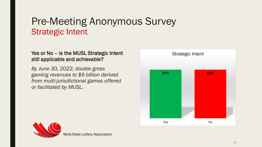### Pre-Meeting Anonymous Survey Strategic Intent

### Yes or No – is the MUSL Strategic Intent still applicable and achievable?

*By June 30, 2022, double gross gaming revenues to \$6 billion derived from multi-jurisdictional games offered or facilitated by MUSL.* 





Multi-State Lottery Association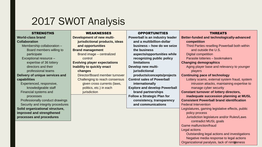# 2017 SWOT Analysis

#### **STRENGTHS**

#### **World-class brand Collaboration** Membership collaboration – Board members willing to participate Exceptional resource – expertise of 36 lottery directors and their professional teams **Delivery of unique services and capabilities** Experienced, responsive, knowledgeable staff Financial systems and processes Professionally conduct drawings Security and integrity procedures **Solid organizational structure, improved and strengthened processes and procedures**

#### WEAKNESSES

| Development of new multi-           |  |  |  |  |  |
|-------------------------------------|--|--|--|--|--|
| jurisdictional products, ideas      |  |  |  |  |  |
| and opportunities                   |  |  |  |  |  |
| <b>Brand management</b>             |  |  |  |  |  |
| Brand image - centralized           |  |  |  |  |  |
| control                             |  |  |  |  |  |
| <b>Evolving player expectations</b> |  |  |  |  |  |
| <b>Inability to quickly enact</b>   |  |  |  |  |  |
| changes                             |  |  |  |  |  |
| Director/Board member turnover      |  |  |  |  |  |
| Challenging to reach consensus      |  |  |  |  |  |
| given cross currents (laws,         |  |  |  |  |  |
| politics, etc.) in each             |  |  |  |  |  |
| jurisdiction                        |  |  |  |  |  |
|                                     |  |  |  |  |  |

#### **OPPORTUNITIES**

**Powerball is an industry lead and a multibillion-dollar business – how do we set the business aspects/opportunities wh recognizing public policy limitations Develop new multijurisdictional**  products/concepts/projec **Control sales of Powerball internationally Explore and develop Powerb brand partnerships Follow a Strategic Plan for consistency, transparency and communications**

### THREATS

| der  | <b>Better-funded and technologically-advanced</b>                                        |  |  |  |  |  |  |
|------|------------------------------------------------------------------------------------------|--|--|--|--|--|--|
|      | competition                                                                              |  |  |  |  |  |  |
| ize  | Third Parties reselling Powerball both within                                            |  |  |  |  |  |  |
|      | and outside the U.S.                                                                     |  |  |  |  |  |  |
| ile  | <b>Digital competition</b>                                                               |  |  |  |  |  |  |
|      | Parasite lotteries - bookmakers                                                          |  |  |  |  |  |  |
|      | <b>Changing demographics</b>                                                             |  |  |  |  |  |  |
|      | Aging player base and relevancy to younger                                               |  |  |  |  |  |  |
|      | players                                                                                  |  |  |  |  |  |  |
| :ts  | <b>Continuing pace of technology</b>                                                     |  |  |  |  |  |  |
|      | Lottery scams, external system fraud, system                                             |  |  |  |  |  |  |
|      | intrusion attacks, maintaining expertise to                                              |  |  |  |  |  |  |
| alll | manage cyber security                                                                    |  |  |  |  |  |  |
|      | <b>Constant turnover of lottery directors,</b>                                           |  |  |  |  |  |  |
|      |                                                                                          |  |  |  |  |  |  |
|      | inadequate succession planning at MUSL                                                   |  |  |  |  |  |  |
| y    | <b>Consistent Powerball brand identification</b>                                         |  |  |  |  |  |  |
|      | <b>Federal Intervention</b>                                                              |  |  |  |  |  |  |
|      | Legislatures, gaming legislative effects, public                                         |  |  |  |  |  |  |
|      | policy process                                                                           |  |  |  |  |  |  |
|      | Jurisdiction legislature and/or Rules/Laws                                               |  |  |  |  |  |  |
|      | contradict MUSL goals                                                                    |  |  |  |  |  |  |
|      | <b>Game malfunction/fraud</b>                                                            |  |  |  |  |  |  |
|      | Legal actions                                                                            |  |  |  |  |  |  |
|      | Outstanding legal actions and investigations                                             |  |  |  |  |  |  |
|      | Negative media response to legal actions<br>Organizational paralysis, lack of nimbleness |  |  |  |  |  |  |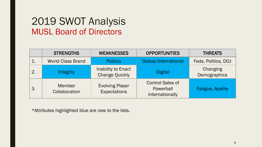### 2019 SWOT Analysis MUSL Board of Directors

|                  | <b>STRENGTHS</b>         | <b>WEAKNESSES</b>                             | <b>OPPORTUNITIES</b>                                    | <b>THREATS</b>           |
|------------------|--------------------------|-----------------------------------------------|---------------------------------------------------------|--------------------------|
| $\mathbf 1$ .    | <b>World Class Brand</b> | <b>Politics</b>                               | Global/International                                    | Feds, Politics, DOJ      |
| $\overline{2}$ . | Integrity                | Inability to Enact<br><b>Change Quickly</b>   | <b>Digital</b>                                          | Changing<br>Demographics |
| 3.               | Member<br>Collaboration  | <b>Evolving Player</b><br><b>Expectations</b> | <b>Control Sales of</b><br>Powerball<br>Internationally | <b>Fatigue, Apathy</b>   |

\*Attributes highlighted blue are new to the lists.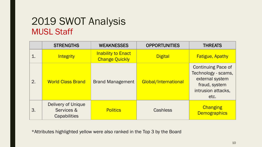## 2019 SWOT Analysis MUSL Staff

|    | <b>STRENGTHS</b>                                 | <b>WEAKNESSES</b>                                  | <b>OPPORTUNITIES</b> | <b>THREATS</b>                                                                                                     |
|----|--------------------------------------------------|----------------------------------------------------|----------------------|--------------------------------------------------------------------------------------------------------------------|
|    | Integrity                                        | <b>Inability to Enact</b><br><b>Change Quickly</b> | <b>Digital</b>       | <b>Fatigue, Apathy</b>                                                                                             |
| 2. | <b>World Class Brand</b>                         | <b>Brand Management</b>                            | Global/International | <b>Continuing Pace of</b><br>Technology - scams,<br>external system<br>fraud, system<br>intrusion attacks,<br>etc. |
| 3. | Delivery of Unique<br>Services &<br>Capabilities | <b>Politics</b>                                    | Cashless             | Changing<br><b>Demographics</b>                                                                                    |

\*Attributes highlighted yellow were also ranked in the Top 3 by the Board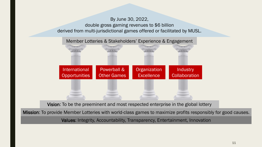### By June 30, 2022, double gross gaming revenues to \$6 billion derived from multi-jurisdictional games offered or facilitated by MUSL.



Vision: To be the preeminent and most respected enterprise in the global lottery

Mission: To provide Member Lotteries with world-class games to maximize profits responsibly for good causes.

Values: Integrity, Accountability, Transparency, Entertainment, Innovation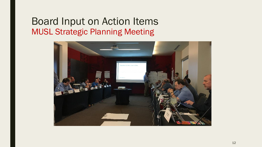### Board Input on Action Items MUSL Strategic Planning Meeting

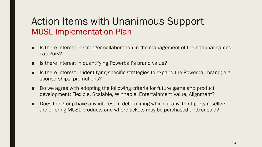### Action Items with Unanimous Support MUSL Implementation Plan

- Is there interest in stronger collaboration in the management of the national games category?
- Is there interest in quantifying Powerball's brand value?
- Is there interest in identifying specific strategies to expand the Powerball brand; e.g. sponsorships, promotions?
- Do we agree with adopting the following criteria for future game and product development: Flexible, Scalable, Winnable, Entertainment Value, Alignment?
- Does the group have any interest in determining which, if any, third party resellers are offering MUSL products and where tickets may be purchased and/or sold?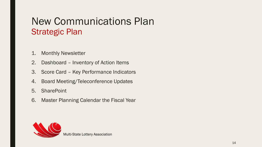# New Communications Plan Strategic Plan

- 1. Monthly Newsletter
- 2. Dashboard Inventory of Action Items
- 3. Score Card Key Performance Indicators
- 4. Board Meeting/Teleconference Updates
- 5. SharePoint
- 6. Master Planning Calendar the Fiscal Year